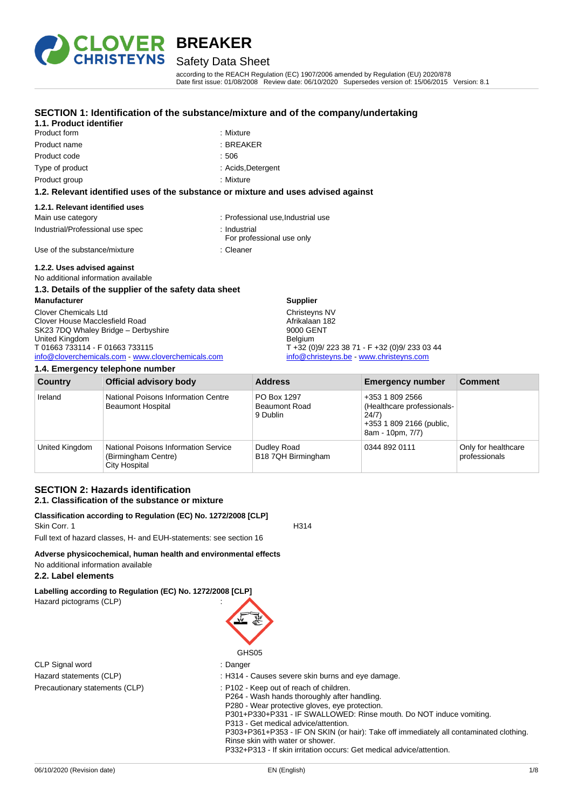

Product form **: Mixture** : Mixture

**1.1. Product identifier**

## Safety Data Sheet

**SECTION 1: Identification of the substance/mixture and of the company/undertaking**

according to the REACH Regulation (EC) 1907/2006 amended by Regulation (EU) 2020/878 Date first issue: 01/08/2008 Review date: 06/10/2020 Supersedes version of: 15/06/2015 Version: 8.1

#### Product name : BREAKER Product code : 506 Type of product in the state of the state of product in the state of the state of the state of the state of the state of the state of the state of the state of the state of the state of the state of the state of the state Product group **: Mixture** : Mixture **1.2. Relevant identified uses of the substance or mixture and uses advised against 1.2.1. Relevant identified uses** Main use category **interest and the Community** of Professional use, Industrial use Industrial/Professional use spec : Industrial For professional use only Use of the substance/mixture in the substance in the set of the substance in the set of the substance in the substance in the set of the set of the set of the set of the set of the set of the set of the set of the set of t **1.2.2. Uses advised against** No additional information available **1.3. Details of the supplier of the safety data sheet Manufacturer** Clover Chemicals Ltd Clover House Macclesfield Road **Supplier** Christeyns NV Afrikalaan 182

SK23 7DQ Whaley Bridge – Derbyshire United Kingdom T 01663 733114 - F 01663 733115 [info@cloverchemicals.com](mailto:info@cloverchemicals.com) - [www.cloverchemicals.com](http://www.cloverchemicals.com/)

| 1.4. Emergency telephone number |                                                                              |                                                 |                                                                                                        |                                      |
|---------------------------------|------------------------------------------------------------------------------|-------------------------------------------------|--------------------------------------------------------------------------------------------------------|--------------------------------------|
| Country                         | <b>Official advisory body</b>                                                | <b>Address</b>                                  | <b>Emergency number</b>                                                                                | <b>Comment</b>                       |
| Ireland                         | National Poisons Information Centre<br><b>Beaumont Hospital</b>              | PO Box 1297<br><b>Beaumont Road</b><br>9 Dublin | +353 1 809 2566<br>(Healthcare professionals-<br>24/7)<br>+353 1 809 2166 (public,<br>8am - 10pm, 7/7) |                                      |
| United Kingdom                  | National Poisons Information Service<br>(Birmingham Centre)<br>City Hospital | Dudley Road<br>B18 7QH Birmingham               | 0344 892 0111                                                                                          | Only for healthcare<br>professionals |

9000 GENT Belgium

T +32 (0)9/ 223 38 71 - F +32 (0)9/ 233 03 44 [info@christeyns.be](mailto:info@christeyns.be) - [www.christeyns.com](http://www.christeyns.com/)

#### **SECTION 2: Hazards identification 2.1. Classification of the substance or mixture**

**Classification according to Regulation (EC) No. 1272/2008 [CLP]** Skin Corr. 1 H314

Full text of hazard classes, H- and EUH-statements: see section 16

#### **Adverse physicochemical, human health and environmental effects** No additional information available

#### **2.2. Label elements**

**Labelling according to Regulation (EC) No. 1272/2008 [CLP]** Hazard pictograms (CLP) :

CLP Signal word in the state of the state of the Signal School and the Signal School and the Signal School and Signal School and School and School and School and School and School and School and School and School and Schoo Precautionary statements (CLP) : P102 - Keep out of reach of children.

#### GHS05

- Hazard statements (CLP)  $\overline{\phantom{a}}$ : H314 Causes severe skin burns and eye damage.
	-
	- P264 Wash hands thoroughly after handling. P280 - Wear protective gloves, eye protection.
	- P301+P330+P331 IF SWALLOWED: Rinse mouth. Do NOT induce vomiting.
	- P313 Get medical advice/attention.

P303+P361+P353 - IF ON SKIN (or hair): Take off immediately all contaminated clothing. Rinse skin with water or shower.

P332+P313 - If skin irritation occurs: Get medical advice/attention.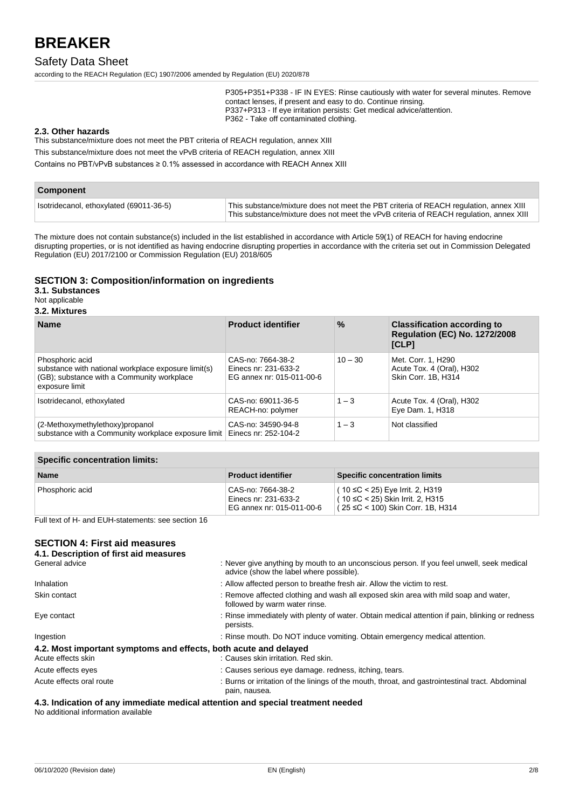#### Safety Data Sheet

according to the REACH Regulation (EC) 1907/2006 amended by Regulation (EU) 2020/878

P305+P351+P338 - IF IN EYES: Rinse cautiously with water for several minutes. Remove contact lenses, if present and easy to do. Continue rinsing. P337+P313 - If eye irritation persists: Get medical advice/attention. P362 - Take off contaminated clothing.

#### **2.3. Other hazards**

This substance/mixture does not meet the PBT criteria of REACH regulation, annex XIII

This substance/mixture does not meet the vPvB criteria of REACH regulation, annex XIII

Contains no PBT/vPvB substances ≥ 0.1% assessed in accordance with REACH Annex XIII

| <b>Component</b>                        |                                                                                                                                                                                 |
|-----------------------------------------|---------------------------------------------------------------------------------------------------------------------------------------------------------------------------------|
| Isotridecanol, ethoxylated (69011-36-5) | This substance/mixture does not meet the PBT criteria of REACH regulation, annex XIII<br>This substance/mixture does not meet the vPvB criteria of REACH regulation, annex XIII |

The mixture does not contain substance(s) included in the list established in accordance with Article 59(1) of REACH for having endocrine disrupting properties, or is not identified as having endocrine disrupting properties in accordance with the criteria set out in Commission Delegated Regulation (EU) 2017/2100 or Commission Regulation (EU) 2018/605

#### **SECTION 3: Composition/information on ingredients**

#### **3.1. Substances**

Not applicable

#### **3.2. Mixtures**

| <b>Name</b>                                                                                                                            | <b>Product identifier</b>                                              | $\frac{9}{6}$ | <b>Classification according to</b><br><b>Regulation (EC) No. 1272/2008</b><br>[CLP] |
|----------------------------------------------------------------------------------------------------------------------------------------|------------------------------------------------------------------------|---------------|-------------------------------------------------------------------------------------|
| Phosphoric acid<br>substance with national workplace exposure limit(s)<br>(GB); substance with a Community workplace<br>exposure limit | CAS-no: 7664-38-2<br>Einecs nr: 231-633-2<br>EG annex nr: 015-011-00-6 | $10 - 30$     | Met. Corr. 1, H290<br>Acute Tox. 4 (Oral), H302<br>Skin Corr. 1B, H314              |
| Isotridecanol, ethoxylated                                                                                                             | CAS-no: 69011-36-5<br>REACH-no: polymer                                | $1 - 3$       | Acute Tox. 4 (Oral), H302<br>Eye Dam. 1, H318                                       |
| (2-Methoxymethylethoxy)propanol<br>substance with a Community workplace exposure limit                                                 | CAS-no: 34590-94-8<br>Einecs nr: 252-104-2                             | $1 - 3$       | Not classified                                                                      |

| <b>Specific concentration limits:</b> |                                                                        |                                                                                                                     |  |
|---------------------------------------|------------------------------------------------------------------------|---------------------------------------------------------------------------------------------------------------------|--|
| <b>Name</b>                           | <b>Product identifier</b>                                              | <b>Specific concentration limits</b>                                                                                |  |
| Phosphoric acid                       | CAS-no: 7664-38-2<br>Einecs nr: 231-633-2<br>EG annex nr: 015-011-00-6 | ( $10 ≤ C < 25$ ) Eye Irrit. 2, H319<br>$(10 \leq C < 25)$ Skin Irrit. 2, H315<br>(25 ≤C < 100) Skin Corr. 1B, H314 |  |

Full text of H- and EUH-statements: see section 16

#### **SECTION 4: First aid measures**

| 4.1. Description of first aid measures                           |                                                                                                                                      |
|------------------------------------------------------------------|--------------------------------------------------------------------------------------------------------------------------------------|
| General advice                                                   | : Never give anything by mouth to an unconscious person. If you feel unwell, seek medical<br>advice (show the label where possible). |
| Inhalation                                                       | : Allow affected person to breathe fresh air. Allow the victim to rest.                                                              |
| Skin contact                                                     | : Remove affected clothing and wash all exposed skin area with mild soap and water,<br>followed by warm water rinse.                 |
| Eye contact                                                      | : Rinse immediately with plenty of water. Obtain medical attention if pain, blinking or redness<br>persists.                         |
| Ingestion                                                        | : Rinse mouth. Do NOT induce vomiting. Obtain emergency medical attention.                                                           |
| 4.2. Most important symptoms and effects, both acute and delayed |                                                                                                                                      |
| Acute effects skin                                               | : Causes skin irritation. Red skin.                                                                                                  |
| Acute effects eyes                                               | : Causes serious eye damage. redness, itching, tears.                                                                                |
| Acute effects oral route                                         | : Burns or irritation of the linings of the mouth, throat, and gastrointestinal tract. Abdominal<br>pain, nausea.                    |
|                                                                  |                                                                                                                                      |

**4.3. Indication of any immediate medical attention and special treatment needed** No additional information available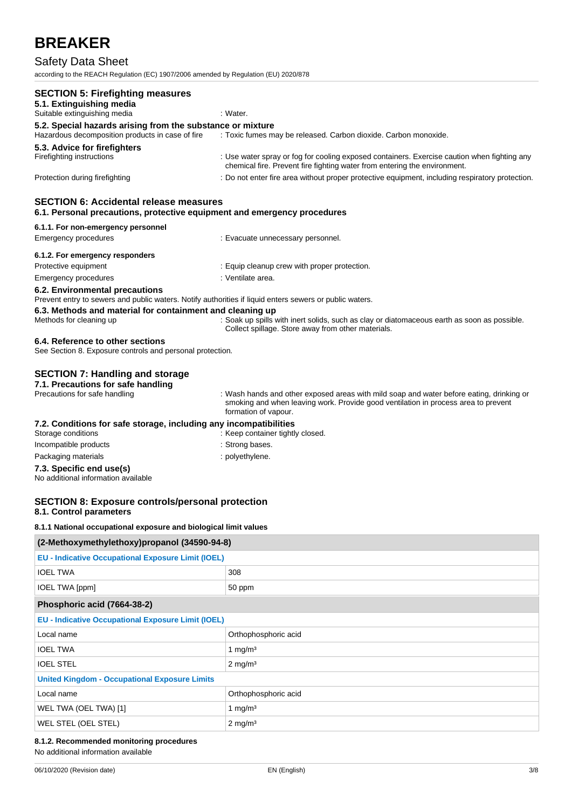## Safety Data Sheet

according to the REACH Regulation (EC) 1907/2006 amended by Regulation (EU) 2020/878

| <b>SECTION 5: Firefighting measures</b><br>5.1. Extinguishing media<br>Suitable extinguishing media                                       | : Water.                                                                                                                                                                                               |
|-------------------------------------------------------------------------------------------------------------------------------------------|--------------------------------------------------------------------------------------------------------------------------------------------------------------------------------------------------------|
|                                                                                                                                           |                                                                                                                                                                                                        |
| 5.2. Special hazards arising from the substance or mixture<br>Hazardous decomposition products in case of fire                            | : Toxic fumes may be released. Carbon dioxide. Carbon monoxide.                                                                                                                                        |
| 5.3. Advice for firefighters<br>Firefighting instructions                                                                                 | : Use water spray or fog for cooling exposed containers. Exercise caution when fighting any<br>chemical fire. Prevent fire fighting water from entering the environment.                               |
| Protection during firefighting                                                                                                            | : Do not enter fire area without proper protective equipment, including respiratory protection.                                                                                                        |
| <b>SECTION 6: Accidental release measures</b><br>6.1. Personal precautions, protective equipment and emergency procedures                 |                                                                                                                                                                                                        |
| 6.1.1. For non-emergency personnel<br>Emergency procedures                                                                                | : Evacuate unnecessary personnel.                                                                                                                                                                      |
| 6.1.2. For emergency responders                                                                                                           |                                                                                                                                                                                                        |
| Protective equipment                                                                                                                      | : Equip cleanup crew with proper protection.                                                                                                                                                           |
| Emergency procedures                                                                                                                      | : Ventilate area.                                                                                                                                                                                      |
| 6.2. Environmental precautions<br>Prevent entry to sewers and public waters. Notify authorities if liquid enters sewers or public waters. |                                                                                                                                                                                                        |
| 6.3. Methods and material for containment and cleaning up                                                                                 |                                                                                                                                                                                                        |
| Methods for cleaning up                                                                                                                   | : Soak up spills with inert solids, such as clay or diatomaceous earth as soon as possible.<br>Collect spillage. Store away from other materials.                                                      |
| 6.4. Reference to other sections<br>See Section 8. Exposure controls and personal protection.                                             |                                                                                                                                                                                                        |
| <b>SECTION 7: Handling and storage</b><br>7.1. Precautions for safe handling                                                              |                                                                                                                                                                                                        |
| Precautions for safe handling                                                                                                             | : Wash hands and other exposed areas with mild soap and water before eating, drinking or<br>smoking and when leaving work. Provide good ventilation in process area to prevent<br>formation of vapour. |
| 7.2. Conditions for safe storage, including any incompatibilities<br>Storage conditions                                                   | : Keep container tightly closed.                                                                                                                                                                       |
| Incompatible products                                                                                                                     | : Strong bases.                                                                                                                                                                                        |
| Packaging materials                                                                                                                       | : polyethylene.                                                                                                                                                                                        |
| 7.3. Specific end use(s)<br>No additional information available                                                                           |                                                                                                                                                                                                        |
| <b>SECTION 8: Exposure controls/personal protection</b><br>8.1. Control parameters                                                        |                                                                                                                                                                                                        |
| 8.1.1 National occupational exposure and biological limit values                                                                          |                                                                                                                                                                                                        |
| (2-Methoxymethylethoxy)propanol (34590-94-8)                                                                                              |                                                                                                                                                                                                        |
| <b>EU - Indicative Occupational Exposure Limit (IOEL)</b>                                                                                 |                                                                                                                                                                                                        |
| <b>IOEL TWA</b>                                                                                                                           | 308                                                                                                                                                                                                    |
| IOEL TWA [ppm]                                                                                                                            | 50 ppm                                                                                                                                                                                                 |
| Phosphoric acid (7664-38-2)                                                                                                               |                                                                                                                                                                                                        |
| <b>EU - Indicative Occupational Exposure Limit (IOEL)</b>                                                                                 |                                                                                                                                                                                                        |
| Local name                                                                                                                                | Orthophosphoric acid                                                                                                                                                                                   |
| <b>IOEL TWA</b>                                                                                                                           | 1 mg/m $3$                                                                                                                                                                                             |
| <b>IOEL STEL</b>                                                                                                                          | $2 \text{ mg/m}^3$                                                                                                                                                                                     |
| <b>United Kingdom - Occupational Exposure Limits</b>                                                                                      |                                                                                                                                                                                                        |
| Local name                                                                                                                                | Orthophosphoric acid                                                                                                                                                                                   |
| WEL TWA (OEL TWA) [1]                                                                                                                     | 1 mg/ $m3$                                                                                                                                                                                             |

#### **8.1.2. Recommended monitoring procedures**

WEL STEL (OEL STEL) 2 mg/m<sup>3</sup>

No additional information available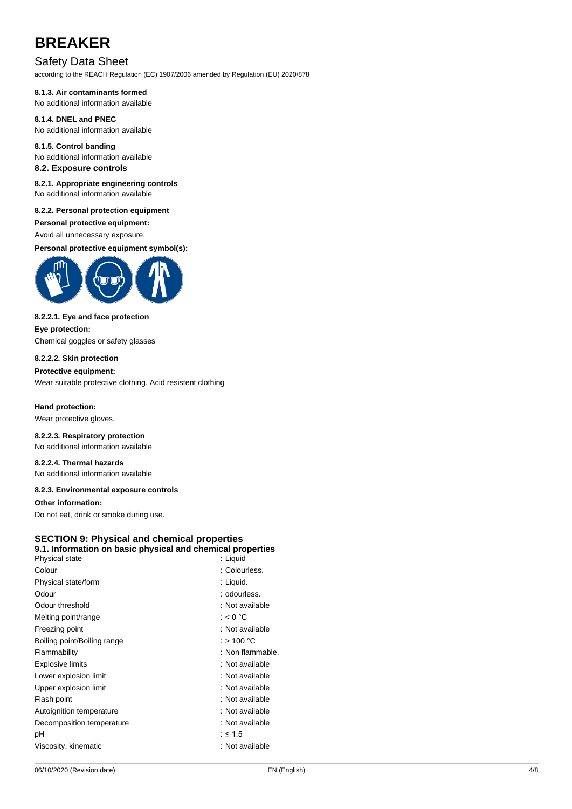### Safety Data Sheet

according to the REACH Regulation (EC) 1907/2006 amended by Regulation (EU) 2020/878

#### **8.1.3. Air contaminants formed**

No additional information available

#### **8.1.4. DNEL and PNEC** No additional information available

**8.1.5. Control banding** No additional information available

#### **8.2. Exposure controls**

#### **8.2.1. Appropriate engineering controls** No additional information available

### **8.2.2. Personal protection equipment**

### **Personal protective equipment:**

Avoid all unnecessary exposure.

**Personal protective equipment symbol(s):**



#### **8.2.2.1. Eye and face protection Eye protection:**

Chemical goggles or safety glasses

#### **8.2.2.2. Skin protection**

#### **Protective equipment:**

Wear suitable protective clothing. Acid resistent clothing

## **Hand protection:**

Wear protective gloves.

#### **8.2.2.3. Respiratory protection** No additional information available

**8.2.2.4. Thermal hazards** No additional information available

#### **8.2.3. Environmental exposure controls**

#### **Other information:**

Do not eat, drink or smoke during use.

#### **SECTION 9: Physical and chemical properties 9.1. Information on basic physical and chemical properties**

#### Physical state : Liquid Colour Colour : Colourless. Physical state/form : Liquid. Odour : odourless. Odour threshold **in the set of the set of the set of the set of the set of the set of the set of the set of the set of the set of the set of the set of the set of the set of the set of the set of the set of the set of the**

| Melting point/range         | : $< 0 °C$       |
|-----------------------------|------------------|
| Freezing point              | : Not available  |
| Boiling point/Boiling range | : > 100 °C       |
| Flammability                | : Non flammable. |
| <b>Explosive limits</b>     | : Not available  |
| Lower explosion limit       | : Not available  |
| Upper explosion limit       | : Not available  |
| Flash point                 | : Not available  |
| Autoignition temperature    | : Not available  |
| Decomposition temperature   | : Not available  |
| рH                          | $: \leq 1.5$     |
| Viscosity, kinematic        | : Not available  |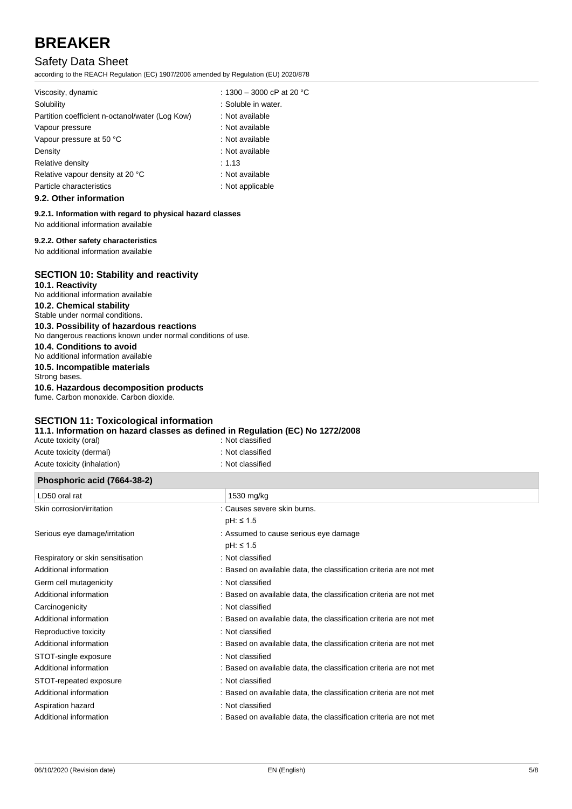## Safety Data Sheet

according to the REACH Regulation (EC) 1907/2006 amended by Regulation (EU) 2020/878

| Viscosity, dynamic                              | : 1300 - 3000 cP at 20 °C |
|-------------------------------------------------|---------------------------|
| Solubility                                      | : Soluble in water.       |
| Partition coefficient n-octanol/water (Log Kow) | : Not available           |
| Vapour pressure                                 | : Not available           |
| Vapour pressure at 50 °C                        | : Not available           |
| Density                                         | : Not available           |
| Relative density                                | : 1.13                    |
| Relative vapour density at 20 °C                | : Not available           |
| Particle characteristics                        | : Not applicable          |
| 0.2. Other information                          |                           |

#### **9.2. Other information**

#### **9.2.1. Information with regard to physical hazard classes**

No additional information available

#### **9.2.2. Other safety characteristics**

No additional information available

### **SECTION 10: Stability and reactivity**

| 10.1. Reactivity<br>No additional information available                                                  |
|----------------------------------------------------------------------------------------------------------|
| 10.2. Chemical stability<br>Stable under normal conditions.                                              |
| 10.3. Possibility of hazardous reactions<br>No dangerous reactions known under normal conditions of use. |
| 10.4. Conditions to avoid<br>No additional information available                                         |
| 10.5. Incompatible materials<br>Strong bases.                                                            |
| 10.6. Hazardous decomposition products<br>fume. Carbon monoxide. Carbon dioxide.                         |
|                                                                                                          |

### **SECTION 11: Toxicological information**

**11.1. Information on hazard classes as defined in Regulation (EC) No 1272/2008**

| Phosphoric acid (7664-38-2) |                  |
|-----------------------------|------------------|
| Acute toxicity (inhalation) | : Not classified |
| Acute toxicity (dermal)     | : Not classified |
| Acute toxicity (oral)       | : Not classified |

| $\frac{1}{1}$ . The spiritual control (1, 00 + 00 $\pm$ ) |                                                                    |
|-----------------------------------------------------------|--------------------------------------------------------------------|
| LD50 oral rat                                             | 1530 mg/kg                                                         |
| Skin corrosion/irritation                                 | : Causes severe skin burns.                                        |
|                                                           | $pH: \leq 1.5$                                                     |
| Serious eye damage/irritation                             | : Assumed to cause serious eye damage                              |
|                                                           | $pH: \leq 1.5$                                                     |
| Respiratory or skin sensitisation                         | : Not classified                                                   |
| Additional information                                    | : Based on available data, the classification criteria are not met |
| Germ cell mutagenicity                                    | : Not classified                                                   |
| Additional information                                    | : Based on available data, the classification criteria are not met |
| Carcinogenicity                                           | : Not classified                                                   |
| Additional information                                    | : Based on available data, the classification criteria are not met |
| Reproductive toxicity                                     | : Not classified                                                   |
| Additional information                                    | : Based on available data, the classification criteria are not met |
| STOT-single exposure                                      | : Not classified                                                   |
| Additional information                                    | : Based on available data, the classification criteria are not met |
| STOT-repeated exposure                                    | : Not classified                                                   |
| Additional information                                    | : Based on available data, the classification criteria are not met |
| Aspiration hazard                                         | : Not classified                                                   |
| Additional information                                    | : Based on available data, the classification criteria are not met |
|                                                           |                                                                    |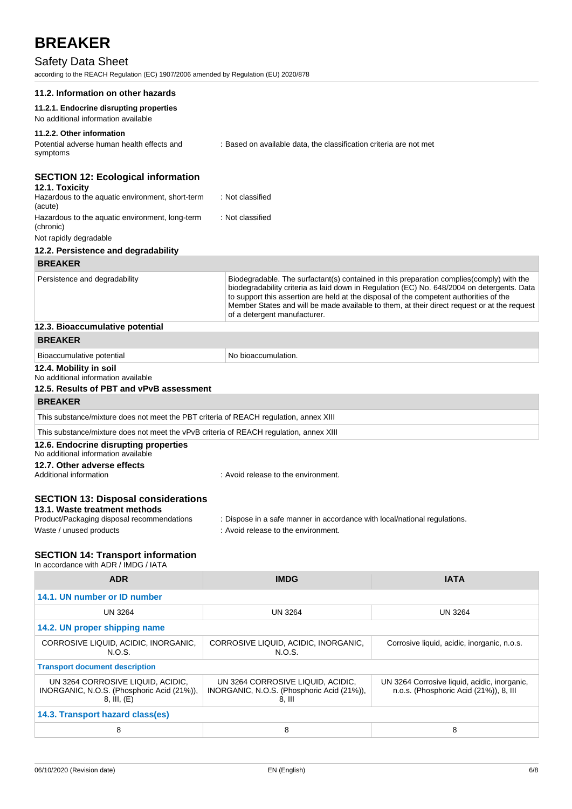## Safety Data Sheet

according to the REACH Regulation (EC) 1907/2006 amended by Regulation (EU) 2020/878

| 11.2. Information on other hazards                                                     |                                                                                                                                                                                                                                                                                                                                                                                                                 |             |  |
|----------------------------------------------------------------------------------------|-----------------------------------------------------------------------------------------------------------------------------------------------------------------------------------------------------------------------------------------------------------------------------------------------------------------------------------------------------------------------------------------------------------------|-------------|--|
| 11.2.1. Endocrine disrupting properties<br>No additional information available         |                                                                                                                                                                                                                                                                                                                                                                                                                 |             |  |
| 11.2.2. Other information                                                              |                                                                                                                                                                                                                                                                                                                                                                                                                 |             |  |
| Potential adverse human health effects and<br>symptoms                                 | : Based on available data, the classification criteria are not met                                                                                                                                                                                                                                                                                                                                              |             |  |
| <b>SECTION 12: Ecological information</b>                                              |                                                                                                                                                                                                                                                                                                                                                                                                                 |             |  |
| 12.1. Toxicity<br>Hazardous to the aquatic environment, short-term<br>(acute)          | : Not classified                                                                                                                                                                                                                                                                                                                                                                                                |             |  |
| Hazardous to the aquatic environment, long-term<br>(chronic)                           | : Not classified                                                                                                                                                                                                                                                                                                                                                                                                |             |  |
| Not rapidly degradable                                                                 |                                                                                                                                                                                                                                                                                                                                                                                                                 |             |  |
| 12.2. Persistence and degradability                                                    |                                                                                                                                                                                                                                                                                                                                                                                                                 |             |  |
| <b>BREAKER</b>                                                                         |                                                                                                                                                                                                                                                                                                                                                                                                                 |             |  |
| Persistence and degradability                                                          | Biodegradable. The surfactant(s) contained in this preparation complies(comply) with the<br>biodegradability criteria as laid down in Regulation (EC) No. 648/2004 on detergents. Data<br>to support this assertion are held at the disposal of the competent authorities of the<br>Member States and will be made available to them, at their direct request or at the request<br>of a detergent manufacturer. |             |  |
| 12.3. Bioaccumulative potential                                                        |                                                                                                                                                                                                                                                                                                                                                                                                                 |             |  |
| <b>BREAKER</b>                                                                         |                                                                                                                                                                                                                                                                                                                                                                                                                 |             |  |
| Bioaccumulative potential                                                              | No bioaccumulation.                                                                                                                                                                                                                                                                                                                                                                                             |             |  |
| 12.4. Mobility in soil<br>No additional information available                          |                                                                                                                                                                                                                                                                                                                                                                                                                 |             |  |
| 12.5. Results of PBT and vPvB assessment                                               |                                                                                                                                                                                                                                                                                                                                                                                                                 |             |  |
| <b>BREAKER</b>                                                                         |                                                                                                                                                                                                                                                                                                                                                                                                                 |             |  |
| This substance/mixture does not meet the PBT criteria of REACH regulation, annex XIII  |                                                                                                                                                                                                                                                                                                                                                                                                                 |             |  |
| This substance/mixture does not meet the vPvB criteria of REACH regulation, annex XIII |                                                                                                                                                                                                                                                                                                                                                                                                                 |             |  |
| 12.6. Endocrine disrupting properties<br>No additional information available           |                                                                                                                                                                                                                                                                                                                                                                                                                 |             |  |
| 12.7. Other adverse effects<br>Additional information                                  | : Avoid release to the environment.                                                                                                                                                                                                                                                                                                                                                                             |             |  |
| <b>SECTION 13: Disposal considerations</b><br>13.1. Waste treatment methods            |                                                                                                                                                                                                                                                                                                                                                                                                                 |             |  |
| Product/Packaging disposal recommendations                                             | : Dispose in a safe manner in accordance with local/national regulations.                                                                                                                                                                                                                                                                                                                                       |             |  |
| Waste / unused products                                                                | : Avoid release to the environment.                                                                                                                                                                                                                                                                                                                                                                             |             |  |
| <b>SECTION 14: Transport information</b><br>In accordance with ADR / IMDG / IATA       |                                                                                                                                                                                                                                                                                                                                                                                                                 |             |  |
| <b>ADR</b>                                                                             | <b>IMDG</b>                                                                                                                                                                                                                                                                                                                                                                                                     | <b>IATA</b> |  |
| 14.1. UN number or ID number                                                           |                                                                                                                                                                                                                                                                                                                                                                                                                 |             |  |

| <b>UN 3264</b>                                                                            | <b>UN 3264</b>                                                                         |  |  |  |
|-------------------------------------------------------------------------------------------|----------------------------------------------------------------------------------------|--|--|--|
|                                                                                           |                                                                                        |  |  |  |
| CORROSIVE LIQUID, ACIDIC, INORGANIC,<br>N.O.S.                                            | Corrosive liquid, acidic, inorganic, n.o.s.                                            |  |  |  |
| <b>Transport document description</b>                                                     |                                                                                        |  |  |  |
| UN 3264 CORROSIVE LIQUID, ACIDIC,<br>INORGANIC, N.O.S. (Phosphoric Acid (21%)),<br>8. III | UN 3264 Corrosive liquid, acidic, inorganic,<br>n.o.s. (Phosphoric Acid (21%)), 8, III |  |  |  |
| 14.3. Transport hazard class(es)                                                          |                                                                                        |  |  |  |
| 8                                                                                         | 8                                                                                      |  |  |  |
|                                                                                           |                                                                                        |  |  |  |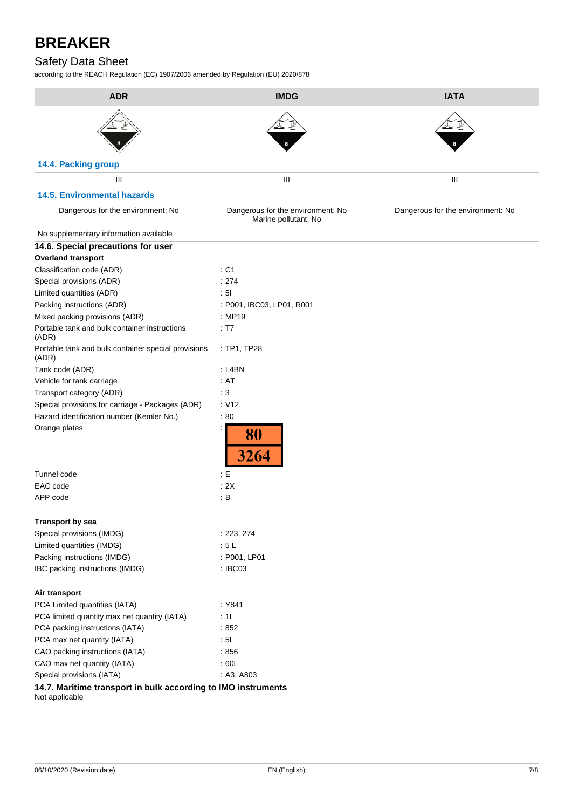## Safety Data Sheet

according to the REACH Regulation (EC) 1907/2006 amended by Regulation (EU) 2020/878

| <b>ADR</b>                                                                      | <b>IMDG</b>                                               | <b>IATA</b>                       |
|---------------------------------------------------------------------------------|-----------------------------------------------------------|-----------------------------------|
|                                                                                 |                                                           |                                   |
| 14.4. Packing group                                                             |                                                           |                                   |
| Ш                                                                               | Ш                                                         | Ш                                 |
| <b>14.5. Environmental hazards</b>                                              |                                                           |                                   |
| Dangerous for the environment: No                                               | Dangerous for the environment: No<br>Marine pollutant: No | Dangerous for the environment: No |
| No supplementary information available                                          |                                                           |                                   |
| 14.6. Special precautions for user                                              |                                                           |                                   |
| <b>Overland transport</b>                                                       |                                                           |                                   |
| Classification code (ADR)                                                       | : C1                                                      |                                   |
| Special provisions (ADR)                                                        | : 274                                                     |                                   |
| Limited quantities (ADR)                                                        | : 51                                                      |                                   |
| Packing instructions (ADR)                                                      | : P001, IBC03, LP01, R001                                 |                                   |
| Mixed packing provisions (ADR)                                                  | : MP19                                                    |                                   |
| Portable tank and bulk container instructions<br>(ADR)                          | : T7                                                      |                                   |
| Portable tank and bulk container special provisions<br>(ADR)                    | : TP1, TP28                                               |                                   |
| Tank code (ADR)                                                                 | : L4BN                                                    |                                   |
| Vehicle for tank carriage                                                       | : AT                                                      |                                   |
| Transport category (ADR)                                                        | :3                                                        |                                   |
| Special provisions for carriage - Packages (ADR)                                | : V12                                                     |                                   |
| Hazard identification number (Kemler No.)                                       | :80                                                       |                                   |
| Orange plates                                                                   | 80<br>3264                                                |                                   |
| Tunnel code                                                                     | : E                                                       |                                   |
| EAC code                                                                        | : 2X                                                      |                                   |
| APP code                                                                        | $\therefore$ B                                            |                                   |
| <b>Transport by sea</b>                                                         |                                                           |                                   |
| Special provisions (IMDG)                                                       | : 223, 274                                                |                                   |
| Limited quantities (IMDG)                                                       | :5L                                                       |                                   |
| Packing instructions (IMDG)                                                     | : P001, LP01                                              |                                   |
| IBC packing instructions (IMDG)                                                 | : IBC03                                                   |                                   |
| Air transport                                                                   |                                                           |                                   |
| PCA Limited quantities (IATA)                                                   | : Y841                                                    |                                   |
| PCA limited quantity max net quantity (IATA)                                    | :1L                                                       |                                   |
| PCA packing instructions (IATA)                                                 | :852                                                      |                                   |
| PCA max net quantity (IATA)                                                     | : 5L                                                      |                                   |
| CAO packing instructions (IATA)                                                 | :856                                                      |                                   |
| CAO max net quantity (IATA)                                                     | :60L                                                      |                                   |
| Special provisions (IATA)                                                       | : A3, A803                                                |                                   |
| 14.7. Maritime transport in bulk according to IMO instruments<br>Not applicable |                                                           |                                   |